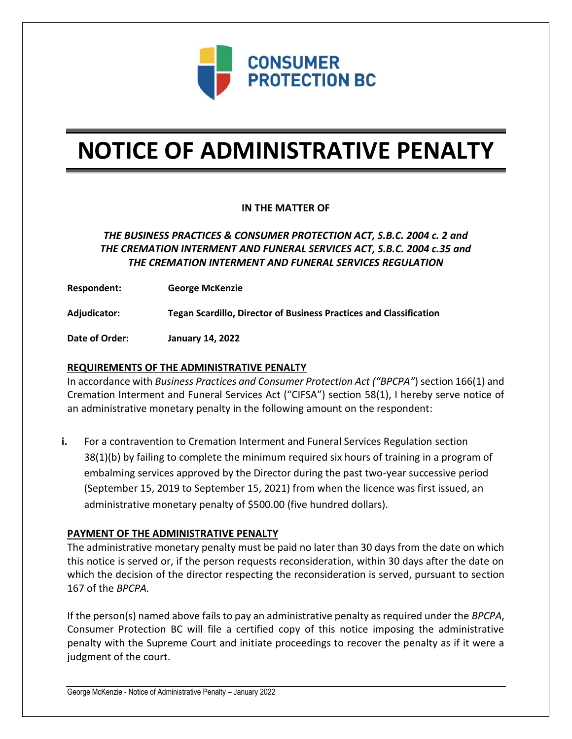

# **NOTICE OF ADMINISTRATIVE PENALTY**

## **IN THE MATTER OF**

# *THE BUSINESS PRACTICES & CONSUMER PROTECTION ACT, S.B.C. 2004 c. 2 and THE CREMATION INTERMENT AND FUNERAL SERVICES ACT, S.B.C. 2004 c.35 and THE CREMATION INTERMENT AND FUNERAL SERVICES REGULATION*

**Respondent: George McKenzie**

**Adjudicator: Tegan Scardillo, Director of Business Practices and Classification**

**Date of Order: January 14, 2022**

### **REQUIREMENTS OF THE ADMINISTRATIVE PENALTY**

In accordance with *Business Practices and Consumer Protection Act ("BPCPA"*) section 166(1) and Cremation Interment and Funeral Services Act ("CIFSA") section 58(1), I hereby serve notice of an administrative monetary penalty in the following amount on the respondent:

**i.** For a contravention to Cremation Interment and Funeral Services Regulation section 38(1)(b) by failing to complete the minimum required six hours of training in a program of embalming services approved by the Director during the past two-year successive period (September 15, 2019 to September 15, 2021) from when the licence was first issued, an administrative monetary penalty of \$500.00 (five hundred dollars).

#### **PAYMENT OF THE ADMINISTRATIVE PENALTY**

The administrative monetary penalty must be paid no later than 30 days from the date on which this notice is served or, if the person requests reconsideration, within 30 days after the date on which the decision of the director respecting the reconsideration is served, pursuant to section 167 of the *BPCPA.* 

If the person(s) named above fails to pay an administrative penalty as required under the *BPCPA*, Consumer Protection BC will file a certified copy of this notice imposing the administrative penalty with the Supreme Court and initiate proceedings to recover the penalty as if it were a judgment of the court.